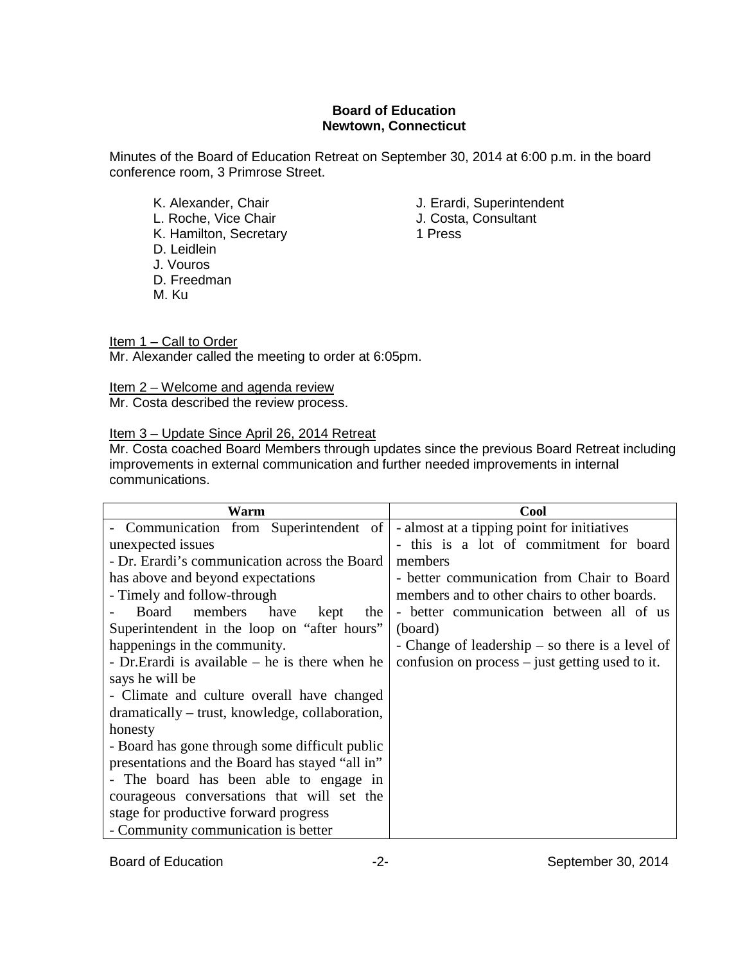## **Board of Education Newtown, Connecticut**

Minutes of the Board of Education Retreat on September 30, 2014 at 6:00 p.m. in the board conference room, 3 Primrose Street.

- K. Alexander, Chair **J. Erardi, Superintendent**<br>
L. Roche, Vice Chair **J. Costa, Consultant** L. Roche, Vice Chair **J. Costa**<br>
K. Hamilton. Secretary **J. Costa** K. Hamilton, Secretary D. Leidlein J. Vouros D. Freedman M. Ku
	-
	- -

Item 1 – Call to Order Mr. Alexander called the meeting to order at 6:05pm.

Item 2 – Welcome and agenda review Mr. Costa described the review process.

Item 3 - Update Since April 26, 2014 Retreat

Mr. Costa coached Board Members through updates since the previous Board Retreat including improvements in external communication and further needed improvements in internal communications.

| Warm                                              | <b>Cool</b>                                       |
|---------------------------------------------------|---------------------------------------------------|
| - Communication from Superintendent of            | - almost at a tipping point for initiatives       |
| unexpected issues                                 | - this is a lot of commitment for board           |
| - Dr. Erardi's communication across the Board     | members                                           |
| has above and beyond expectations                 | - better communication from Chair to Board        |
| - Timely and follow-through                       | members and to other chairs to other boards.      |
| Board members have<br>kept<br>the                 | - better communication between all of us          |
| Superintendent in the loop on "after hours"       | (board)                                           |
| happenings in the community.                      | - Change of leadership $-$ so there is a level of |
| - Dr. Erardi is available $-$ he is there when he | confusion on process $-$ just getting used to it. |
| says he will be                                   |                                                   |
| - Climate and culture overall have changed        |                                                   |
| dramatically – trust, knowledge, collaboration,   |                                                   |
| honesty                                           |                                                   |
| - Board has gone through some difficult public    |                                                   |
| presentations and the Board has stayed "all in"   |                                                   |
| - The board has been able to engage in            |                                                   |
| courageous conversations that will set the        |                                                   |
| stage for productive forward progress             |                                                   |
| - Community communication is better               |                                                   |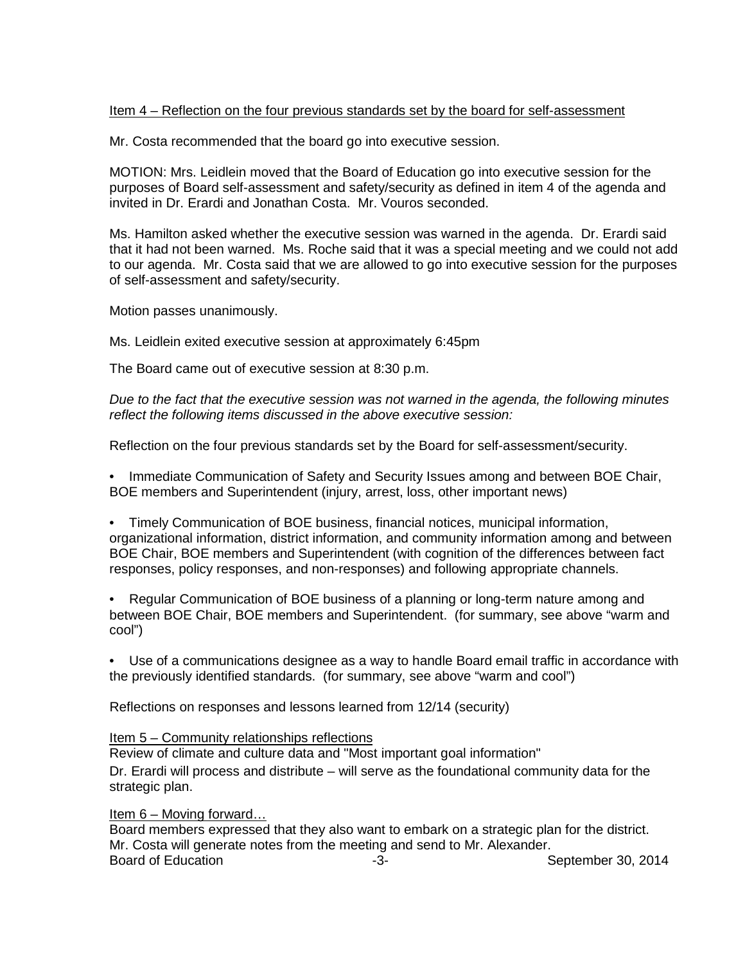## Item 4 – Reflection on the four previous standards set by the board for self-assessment

Mr. Costa recommended that the board go into executive session.

MOTION: Mrs. Leidlein moved that the Board of Education go into executive session for the purposes of Board self-assessment and safety/security as defined in item 4 of the agenda and invited in Dr. Erardi and Jonathan Costa. Mr. Vouros seconded.

Ms. Hamilton asked whether the executive session was warned in the agenda. Dr. Erardi said that it had not been warned. Ms. Roche said that it was a special meeting and we could not add to our agenda. Mr. Costa said that we are allowed to go into executive session for the purposes of self-assessment and safety/security.

Motion passes unanimously.

Ms. Leidlein exited executive session at approximately 6:45pm

The Board came out of executive session at 8:30 p.m.

*Due to the fact that the executive session was not warned in the agenda, the following minutes reflect the following items discussed in the above executive session:*

Reflection on the four previous standards set by the Board for self-assessment/security.

• Immediate Communication of Safety and Security Issues among and between BOE Chair, BOE members and Superintendent (injury, arrest, loss, other important news)

• Timely Communication of BOE business, financial notices, municipal information, organizational information, district information, and community information among and between BOE Chair, BOE members and Superintendent (with cognition of the differences between fact responses, policy responses, and non-responses) and following appropriate channels.

• Regular Communication of BOE business of a planning or long-term nature among and between BOE Chair, BOE members and Superintendent. (for summary, see above "warm and cool")

• Use of a communications designee as a way to handle Board email traffic in accordance with the previously identified standards. (for summary, see above "warm and cool")

Reflections on responses and lessons learned from 12/14 (security)

## Item 5 – Community relationships reflections

Review of climate and culture data and "Most important goal information" Dr. Erardi will process and distribute – will serve as the foundational community data for the strategic plan.

Item 6 – Moving forward...

Board members expressed that they also want to embark on a strategic plan for the district. Mr. Costa will generate notes from the meeting and send to Mr. Alexander.<br>Board of Education Board of Education -3- September 30, 2014